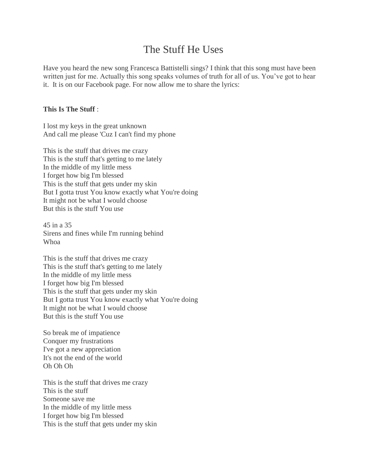## The Stuff He Uses

Have you heard the new song Francesca Battistelli sings? I think that this song must have been written just for me. Actually this song speaks volumes of truth for all of us. You've got to hear it. It is on our Facebook page. For now allow me to share the lyrics:

## **This Is The Stuff** :

I lost my keys in the great unknown And call me please 'Cuz I can't find my phone

This is the stuff that drives me crazy This is the stuff that's getting to me lately In the middle of my little mess I forget how big I'm blessed This is the stuff that gets under my skin But I gotta trust You know exactly what You're doing It might not be what I would choose But this is the stuff You use

45 in a 35 Sirens and fines while I'm running behind Whoa

This is the stuff that drives me crazy This is the stuff that's getting to me lately In the middle of my little mess I forget how big I'm blessed This is the stuff that gets under my skin But I gotta trust You know exactly what You're doing It might not be what I would choose But this is the stuff You use

So break me of impatience Conquer my frustrations I've got a new appreciation It's not the end of the world Oh Oh Oh

This is the stuff that drives me crazy This is the stuff Someone save me In the middle of my little mess I forget how big I'm blessed This is the stuff that gets under my skin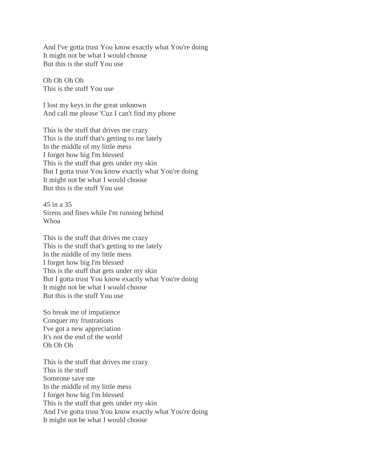And I've gotta trust You know exactly what You're doing It might not be what I would choose But this is the stuff You use

Oh Oh Oh Oh This is the stuff You use

I lost my keys in the great unknown And call me please 'Cuz I can't find my phone

This is the stuff that drives me crazy This is the stuff that's getting to me lately In the middle of my little mess I forget how big I'm blessed This is the stuff that gets under my skin But I gotta trust You know exactly what You're doing It might not be what I would choose But this is the stuff You use

45 in a 35 Sirens and fines while I'm running behind Whoa

This is the stuff that drives me crazy This is the stuff that's getting to me lately In the middle of my little mess I forget how big I'm blessed This is the stuff that gets under my skin But I gotta trust You know exactly what You're doing It might not be what I would choose But this is the stuff You use

So break me of impatience Conquer my frustrations I've got a new appreciation It's not the end of the world Oh Oh Oh

This is the stuff that drives me crazy This is the stuff Someone save me In the middle of my little mess I forget how big I'm blessed This is the stuff that gets under my skin And I've gotta trust You know exactly what You're doing It might not be what I would choose